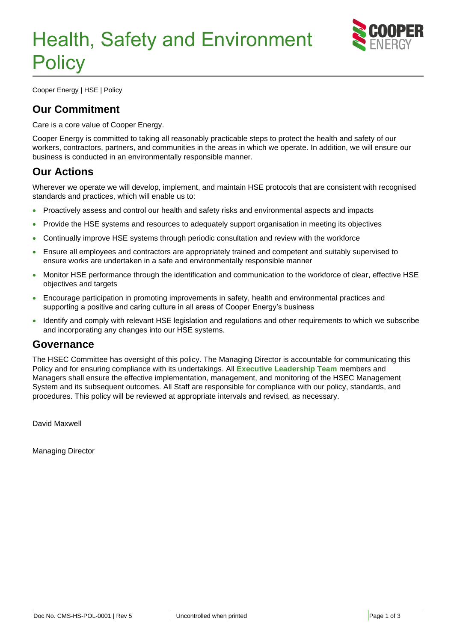

Cooper Energy | HSE | Policy

# **Our Commitment**

Care is a core value of Cooper Energy.

Cooper Energy is committed to taking all reasonably practicable steps to protect the health and safety of our workers, contractors, partners, and communities in the areas in which we operate. In addition, we will ensure our business is conducted in an environmentally responsible manner.

## **Our Actions**

Wherever we operate we will develop, implement, and maintain HSE protocols that are consistent with recognised standards and practices, which will enable us to:

- Proactively assess and control our health and safety risks and environmental aspects and impacts
- Provide the HSE systems and resources to adequately support organisation in meeting its objectives
- Continually improve HSE systems through periodic consultation and review with the workforce
- Ensure all employees and contractors are appropriately trained and competent and suitably supervised to ensure works are undertaken in a safe and environmentally responsible manner
- Monitor HSE performance through the identification and communication to the workforce of clear, effective HSE objectives and targets
- Encourage participation in promoting improvements in safety, health and environmental practices and supporting a positive and caring culture in all areas of Cooper Energy's business
- Identify and comply with relevant HSE legislation and regulations and other requirements to which we subscribe and incorporating any changes into our HSE systems.

### **Governance**

The HSEC Committee has oversight of this policy. The Managing Director is accountable for communicating this Policy and for ensuring compliance with its undertakings. All **[Executive Leadership Team](https://coedocs.link/Executive-Leadership-Team)** members and Managers shall ensure the effective implementation, management, and monitoring of the HSEC Management System and its subsequent outcomes. All Staff are responsible for compliance with our policy, standards, and procedures. This policy will be reviewed at appropriate intervals and revised, as necessary.

David Maxwell

Managing Director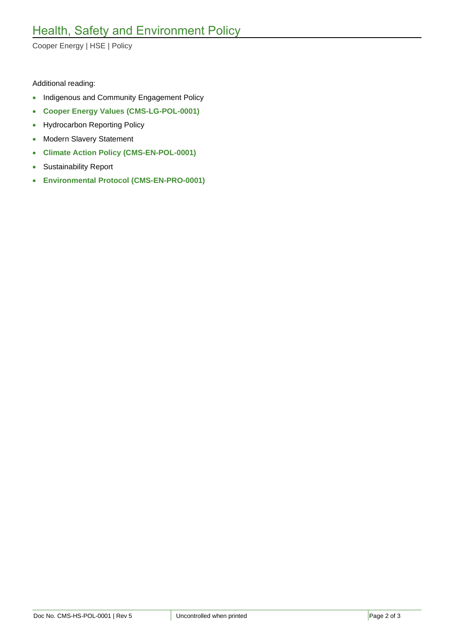Cooper Energy | HSE | Policy

#### Additional reading:

- Indigenous and Community Engagement Policy
- **[Cooper Energy Values \(CMS-LG-POL-0001\)](https://coedocs.link/CMS-LG-POL-0001)**
- Hydrocarbon Reporting Policy
- Modern Slavery Statement
- **[Climate Action Policy](https://coedocs.link/CMS-EN-POL-0001) (CMS-EN-POL-0001)**
- Sustainability Report
- **Environmental Protocol [\(CMS-EN-PRO-0001\)](https://coedocs.link/CMS-EN-PRO-0001)**